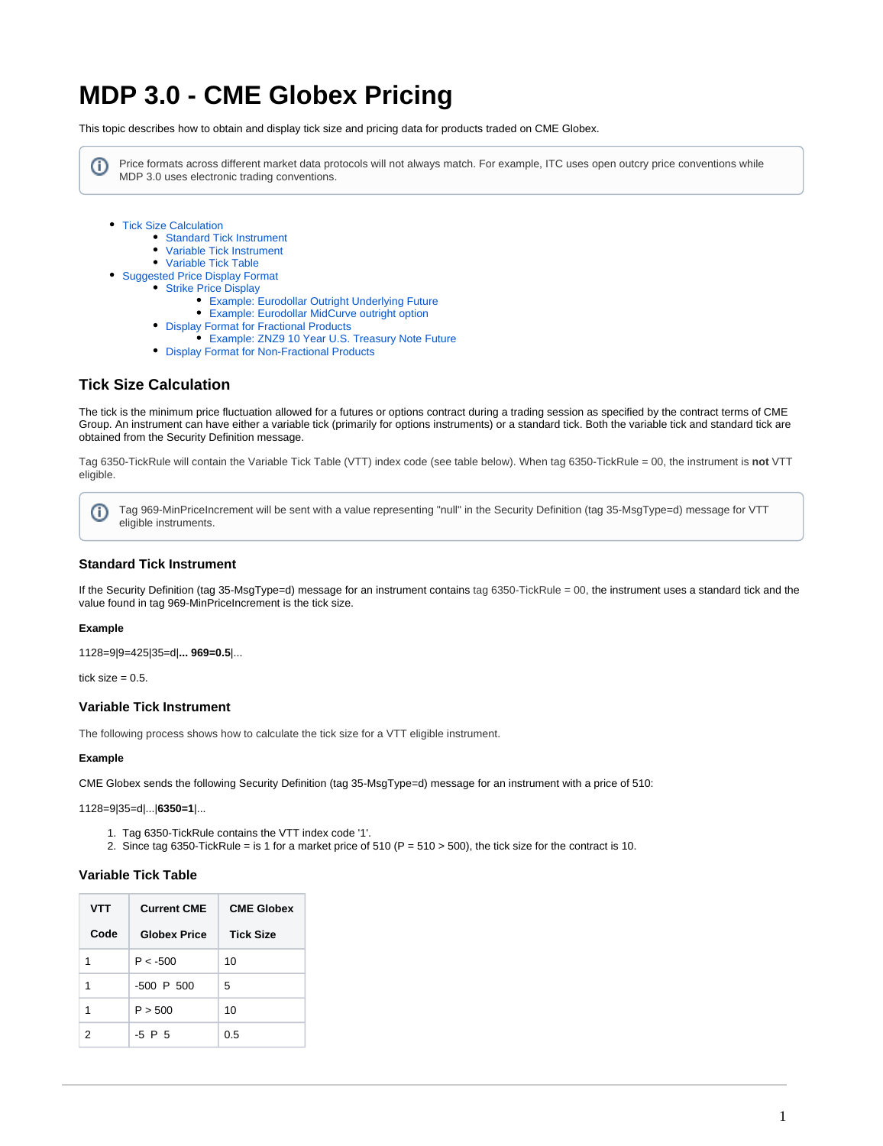# **MDP 3.0 - CME Globex Pricing**

This topic describes how to obtain and display tick size and pricing data for products traded on CME Globex.

Price formats across different market data protocols will not always match. For example, ITC uses open outcry price conventions while O) MDP 3.0 uses electronic trading conventions.

- [Tick Size Calculation](#page-0-0)
	- [Standard Tick Instrument](#page-0-1)
	- [Variable Tick Instrument](#page-0-2)
	- [Variable Tick Table](#page-0-3)
- [Suggested Price Display Format](#page-1-0)
	- [Strike Price Display](#page-1-1)
		- [Example: Eurodollar Outright Underlying Future](#page-1-2)
		- [Example: Eurodollar MidCurve outright option](#page-1-3)
		- [Display Format for Fractional Products](#page-2-0)
			- [Example: ZNZ9 10 Year U.S. Treasury Note Future](#page-2-1)
		- [Display Format for Non-Fractional Products](#page-2-2)

## <span id="page-0-0"></span>**Tick Size Calculation**

The tick is the minimum price fluctuation allowed for a futures or options contract during a trading session as specified by the contract terms of CME Group. An instrument can have either a variable tick (primarily for options instruments) or a standard tick. Both the variable tick and standard tick are obtained from the Security Definition message.

Tag 6350-TickRule will contain the Variable Tick Table (VTT) index code (see table below). When tag 6350-TickRule = 00, the instrument is **not** VTT eligible.

ത Tag 969-MinPriceIncrement will be sent with a value representing "null" in the Security Definition (tag 35-MsgType=d) message for VTT eligible instruments.

### <span id="page-0-1"></span>**Standard Tick Instrument**

If the Security Definition (tag 35-MsgType=d) message for an instrument contains tag 6350-TickRule = 00, the instrument uses a standard tick and the value found in tag 969-MinPriceIncrement is the tick size.

#### **Example**

1128=9|9=425|35=d|**... 969=0.5**|...

tick size  $= 0.5$ .

#### <span id="page-0-2"></span>**Variable Tick Instrument**

The following process shows how to calculate the tick size for a VTT eligible instrument.

#### **Example**

CME Globex sends the following Security Definition (tag 35-MsgType=d) message for an instrument with a price of 510:

1128=9|35=d|...|**6350=1**|...

- 1. Tag 6350-TickRule contains the VTT index code '1'.
- 2. Since tag 6350-TickRule = is 1 for a market price of 510 (P = 510 > 500), the tick size for the contract is 10.

#### <span id="page-0-3"></span>**Variable Tick Table**

| <b>VTT</b> | <b>Current CME</b>  | <b>CME Globex</b> |
|------------|---------------------|-------------------|
| Code       | <b>Globex Price</b> | <b>Tick Size</b>  |
| 1          | $P < -500$          | 10                |
| 1          | $-500$ P $500$      | 5                 |
| 1          | P > 500             | 10                |
| 2          | $-5$ P $5$          | 0.5               |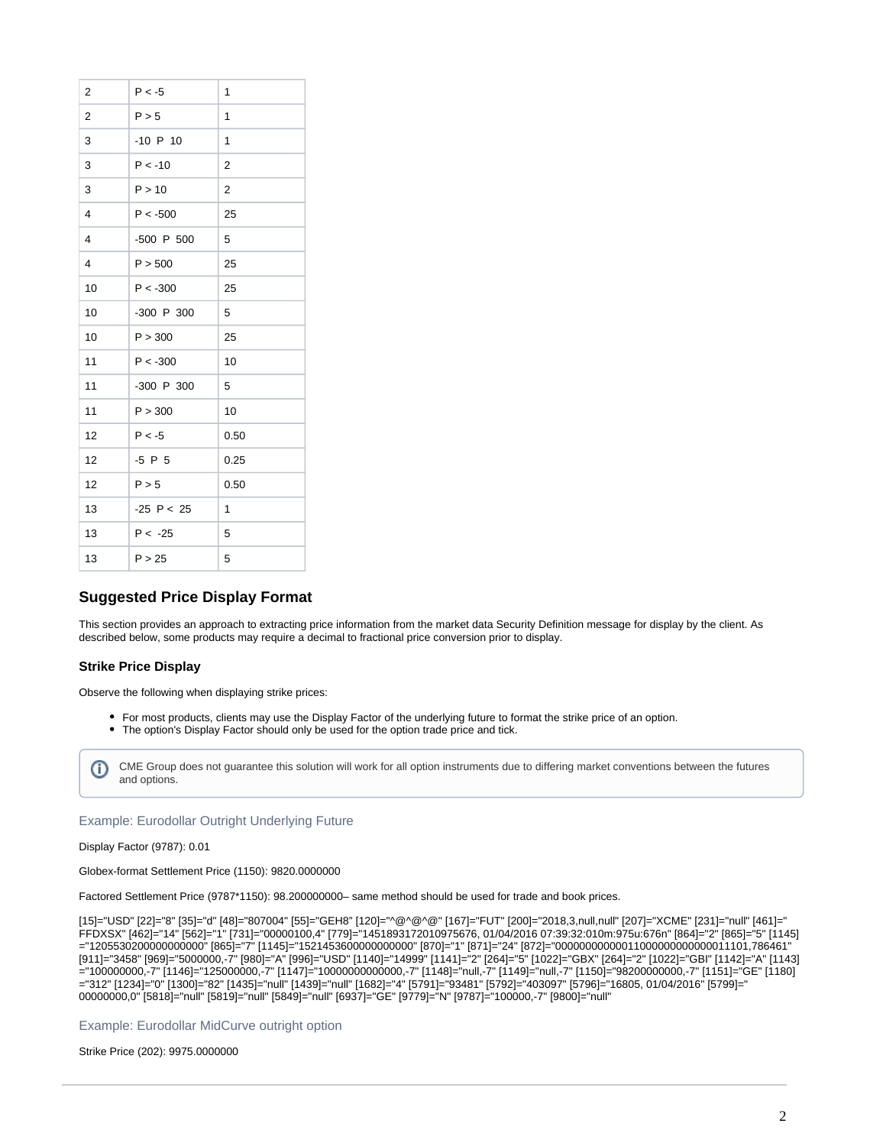| $\overline{2}$ | $P < -5$     | 1              |
|----------------|--------------|----------------|
| $\overline{2}$ | P > 5        | 1              |
| 3              | $-10$ P $10$ | 1              |
| 3              | $P < -10$    | 2              |
| 3              | P > 10       | $\overline{2}$ |
| 4              | $P < -500$   | 25             |
| 4              | -500 P 500   | 5              |
| 4              | P > 500      | 25             |
| 10             | $P < -300$   | 25             |
| 10             | -300 P 300   | 5              |
| 10             | P > 300      | 25             |
| 11             | $P < -300$   | 10             |
| 11             | -300 P 300   | 5              |
| 11             | P > 300      | 10             |
| 12             | $P < -5$     | 0.50           |
| 12             | $-5$ P $5$   | 0.25           |
| 12             | P > 5        | 0.50           |
| 13             | $-25$ P < 25 | 1              |
| 13             | $P < -25$    | 5              |
| 13             | P > 25       | 5              |

# <span id="page-1-0"></span>**Suggested Price Display Format**

This section provides an approach to extracting price information from the market data Security Definition message for display by the client. As described below, some products may require a decimal to fractional price conversion prior to display.

#### <span id="page-1-1"></span>**Strike Price Display**

Observe the following when displaying strike prices:

- For most products, clients may use the Display Factor of the underlying future to format the strike price of an option.
- The option's Display Factor should only be used for the option trade price and tick.

CME Group does not guarantee this solution will work for all option instruments due to differing market conventions between the futures O) and options.

#### <span id="page-1-2"></span>Example: Eurodollar Outright Underlying Future

#### Display Factor (9787): 0.01

Globex-format Settlement Price (1150): 9820.0000000

Factored Settlement Price (9787\*1150): 98.200000000– same method should be used for trade and book prices.

[15]="USD" [22]="8" [35]="d" [48]="807004" [55]="GEH8" [120]="^@^@^@" [167]="FUT" [200]="2018,3,null,null" [207]="XCME" [231]="null" [461]=" FFDXSX" [462]="14" [562]="1" [731]="00000100,4" [779]="1451893172010975676, 01/04/2016 07:39:32:010m:975u:676n" [864]="2" [865]="5" [1145] ="1205530200000000000" [865]="7" [1145]="1521453600000000000" [870]="1" [871]="24" [872]="00000000000011000000000000011101,786461" [911]="3458" [969]="5000000,-7" [980]="A" [996]="USD" [1140]="14999" [1141]="2" [264]="5" [1022]="GBX" [264]="2" [1022]="GBI" [1142]="A" [1143] ="100000000,-7" [1146]="125000000,-7" [1147]="10000000000000,-7" [1148]="null,-7" [1149]="null,-7" [1150]="98200000000,-7" [1151]="GE" [1180] ="312" [1234]="0" [1300]="82" [1435]="null" [1439]="null" [1682]="4" [5791]="93481" [5792]="403097" [5796]="16805, 01/04/2016" [5799]=" 00000000,0" [5818]="null" [5819]="null" [5849]="null" [6937]="GE" [9779]="N" [9787]="100000,-7" [9800]="null"

<span id="page-1-3"></span>Example: Eurodollar MidCurve outright option

Strike Price (202): 9975.0000000